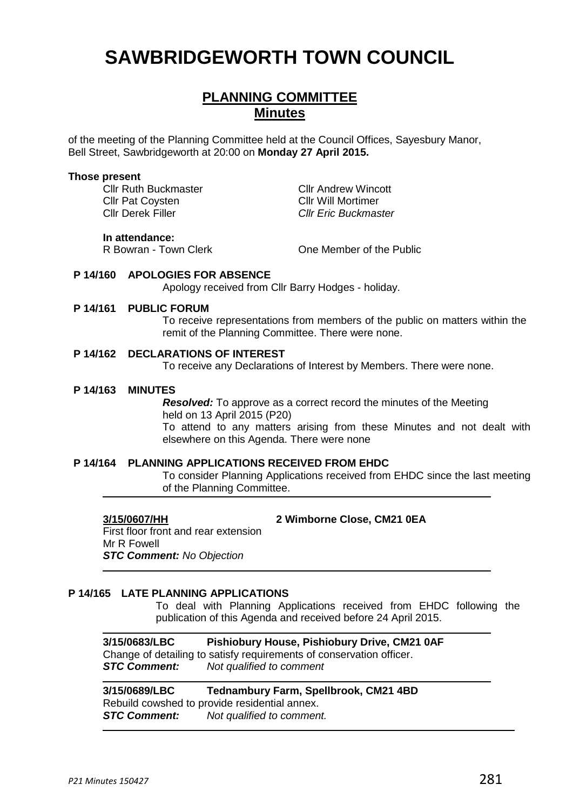# **SAWBRIDGEWORTH TOWN COUNCIL**

## **PLANNING COMMITTEE Minutes**

of the meeting of the Planning Committee held at the Council Offices, Sayesbury Manor, Bell Street, Sawbridgeworth at 20:00 on **Monday 27 April 2015.**

#### **Those present**

Cllr Ruth Buckmaster **Cllr Andrew Wincott** Cllr Pat Coysten Cllr Will Mortimer<br>Cllr Derek Filler Cllr Cllr Eric Buckmas

**Cllr Eric Buckmaster** 

#### **In attendance:**

R Bowran - Town Clerk Clear Cone Member of the Public

#### **P 14/160 APOLOGIES FOR ABSENCE**

Apology received from Cllr Barry Hodges - holiday.

#### **P 14/161 PUBLIC FORUM**

To receive representations from members of the public on matters within the remit of the Planning Committee. There were none.

#### **P 14/162 DECLARATIONS OF INTEREST**

To receive any Declarations of Interest by Members. There were none.

#### **P 14/163 MINUTES**

*Resolved:* To approve as a correct record the minutes of the Meeting held on 13 April 2015 (P20) To attend to any matters arising from these Minutes and not dealt with elsewhere on this Agenda. There were none

#### **P 14/164 PLANNING APPLICATIONS RECEIVED FROM EHDC**

To consider Planning Applications received from EHDC since the last meeting of the Planning Committee.

**3/15/0607/HH 2 Wimborne Close, CM21 0EA**

First floor front and rear extension Mr R Fowell *STC Comment: No Objection*

#### **P 14/165 LATE PLANNING APPLICATIONS**

To deal with Planning Applications received from EHDC following the publication of this Agenda and received before 24 April 2015.

**3/15/0683/LBC Pishiobury House, Pishiobury Drive, CM21 0AF** Change of detailing to satisfy requirements of conservation officer.<br>**STC Comment:** Not qualified to comment *Not qualified to comment* 

**3/15/0689/LBC Tednambury Farm, Spellbrook, CM21 4BD** Rebuild cowshed to provide residential annex. *STC Comment: Not qualified to comment.*